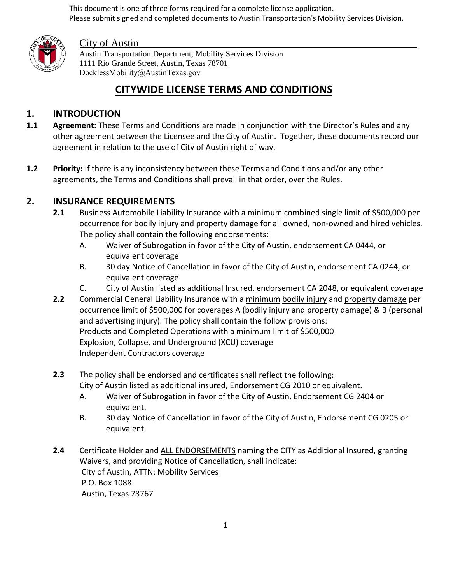This document is one of three forms required for a complete license application. Please submit signed and completed documents to Austin Transportation's Mobility Services Division.



# City of Austin

Austin Transportation Department, Mobility Services Division 1111 Rio Grande Street, Austin, Texas 78701 DocklessMobility@AustinTexas.gov

# **CITYWIDE LICENSE TERMS AND CONDITIONS**

# **1. INTRODUCTION**

- **1.1 Agreement:** These Terms and Conditions are made in conjunction with the Director's Rules and any other agreement between the Licensee and the City of Austin. Together, these documents record our agreement in relation to the use of City of Austin right of way.
- **1.2 Priority:** If there is any inconsistency between these Terms and Conditions and/or any other agreements, the Terms and Conditions shall prevail in that order, over the Rules.

# **2. INSURANCE REQUIREMENTS**

- **2.1** Business Automobile Liability Insurance with a minimum combined single limit of \$500,000 per occurrence for bodily injury and property damage for all owned, non-owned and hired vehicles. The policy shall contain the following endorsements:
	- A. Waiver of Subrogation in favor of the City of Austin, endorsement CA 0444, or equivalent coverage
	- B. 30 day Notice of Cancellation in favor of the City of Austin, endorsement CA 0244, or equivalent coverage
	- C. City of Austin listed as additional Insured, endorsement CA 2048, or equivalent coverage
- **2.2** Commercial General Liability Insurance with a minimum bodily injury and property damage per occurrence limit of \$500,000 for coverages A (bodily injury and property damage) & B (personal and advertising injury). The policy shall contain the follow provisions: Products and Completed Operations with a minimum limit of \$500,000 Explosion, Collapse, and Underground (XCU) coverage Independent Contractors coverage
- **2.3** The policy shall be endorsed and certificates shall reflect the following: City of Austin listed as additional insured, Endorsement CG 2010 or equivalent.
	- A. Waiver of Subrogation in favor of the City of Austin, Endorsement CG 2404 or equivalent.
	- B. 30 day Notice of Cancellation in favor of the City of Austin, Endorsement CG 0205 or equivalent.
- **2.4** Certificate Holder and ALL ENDORSEMENTS naming the CITY as Additional Insured, granting Waivers, and providing Notice of Cancellation, shall indicate: City of Austin, ATTN: Mobility Services P.O. Box 1088 Austin, Texas 78767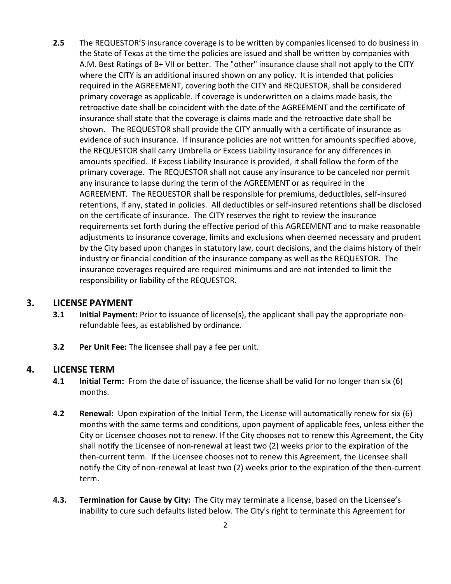**2.5** The REQUESTOR'S insurance coverage is to be written by companies licensed to do business in the State of Texas at the time the policies are issued and shall be written by companies with A.M. Best Ratings of B+ VII or better. The "other" insurance clause shall not apply to the CITY where the CITY is an additional insured shown on any policy. It is intended that policies required in the AGREEMENT, covering both the CITY and REQUESTOR, shall be considered primary coverage as applicable. If coverage is underwritten on a claims made basis, the retroactive date shall be coincident with the date of the AGREEMENT and the certificate of insurance shall state that the coverage is claims made and the retroactive date shall be shown. The REQUESTOR shall provide the CITY annually with a certificate of insurance as evidence of such insurance. If insurance policies are not written for amounts specified above, the REQUESTOR shall carry Umbrella or Excess Liability Insurance for any differences in amounts specified. If Excess Liability Insurance is provided, it shall follow the form of the primary coverage. The REQUESTOR shall not cause any insurance to be canceled nor permit any insurance to lapse during the term of the AGREEMENT or as required in the AGREEMENT. The REQUESTOR shall be responsible for premiums, deductibles, self-insured retentions, if any, stated in policies. All deductibles or self-insured retentions shall be disclosed on the certificate of insurance. The CITY reserves the right to review the insurance requirements set forth during the effective period of this AGREEMENT and to make reasonable adjustments to insurance coverage, limits and exclusions when deemed necessary and prudent by the City based upon changes in statutory law, court decisions, and the claims history of their industry or financial condition of the insurance company as well as the REQUESTOR. The insurance coverages required are required minimums and are not intended to limit the responsibility or liability of the REQUESTOR.

# **3. LICENSE PAYMENT**

- **3.1 Initial Payment:** Prior to issuance of license(s), the applicant shall pay the appropriate nonrefundable fees, as established by ordinance.
- **3.2 Per Unit Fee:** The licensee shall pay a fee per unit.

#### **4. LICENSE TERM**

- **4.1 Initial Term:** From the date of issuance, the license shall be valid for no longer than six (6) months.
- **4.2 Renewal:** Upon expiration of the Initial Term, the License will automatically renew for six (6) months with the same terms and conditions, upon payment of applicable fees, unless either the City or Licensee chooses not to renew. If the City chooses not to renew this Agreement, the City shall notify the Licensee of non-renewal at least two (2) weeks prior to the expiration of the then-current term. If the Licensee chooses not to renew this Agreement, the Licensee shall notify the City of non-renewal at least two (2) weeks prior to the expiration of the then-current term.
- **4.3. Termination for Cause by City:** The City may terminate a license, based on the Licensee's inability to cure such defaults listed below. The City's right to terminate this Agreement for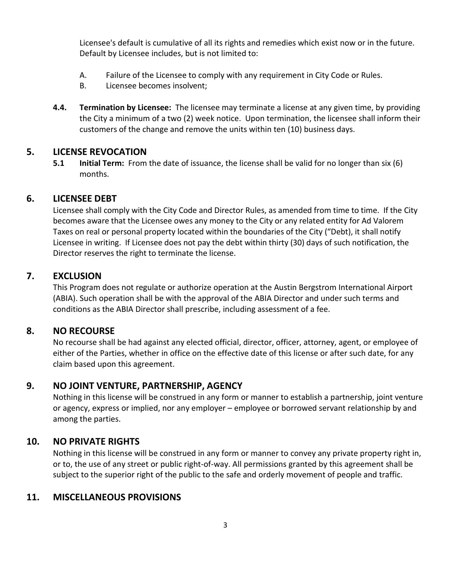Licensee's default is cumulative of all its rights and remedies which exist now or in the future. Default by Licensee includes, but is not limited to:

- A. Failure of the Licensee to comply with any requirement in City Code or Rules.
- B. Licensee becomes insolvent;
- **4.4. Termination by Licensee:** The licensee may terminate a license at any given time, by providing the City a minimum of a two (2) week notice. Upon termination, the licensee shall inform their customers of the change and remove the units within ten (10) business days.

#### **5. LICENSE REVOCATION**

**5.1 Initial Term:** From the date of issuance, the license shall be valid for no longer than six (6) months.

#### **6. LICENSEE DEBT**

Licensee shall comply with the City Code and Director Rules, as amended from time to time. If the City becomes aware that the Licensee owes any money to the City or any related entity for Ad Valorem Taxes on real or personal property located within the boundaries of the City ("Debt), it shall notify Licensee in writing. If Licensee does not pay the debt within thirty (30) days of such notification, the Director reserves the right to terminate the license.

## **7. EXCLUSION**

This Program does not regulate or authorize operation at the Austin Bergstrom International Airport (ABIA). Such operation shall be with the approval of the ABIA Director and under such terms and conditions as the ABIA Director shall prescribe, including assessment of a fee.

#### **8. NO RECOURSE**

No recourse shall be had against any elected official, director, officer, attorney, agent, or employee of either of the Parties, whether in office on the effective date of this license or after such date, for any claim based upon this agreement.

## **9. NO JOINT VENTURE, PARTNERSHIP, AGENCY**

Nothing in this license will be construed in any form or manner to establish a partnership, joint venture or agency, express or implied, nor any employer – employee or borrowed servant relationship by and among the parties.

## **10. NO PRIVATE RIGHTS**

Nothing in this license will be construed in any form or manner to convey any private property right in, or to, the use of any street or public right-of-way. All permissions granted by this agreement shall be subject to the superior right of the public to the safe and orderly movement of people and traffic.

#### **11. MISCELLANEOUS PROVISIONS**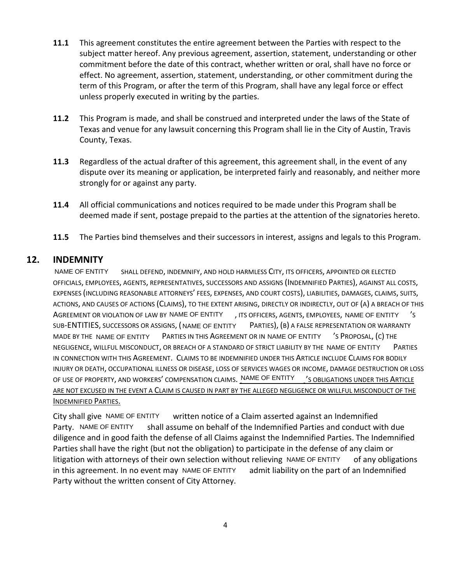- **11.1** This agreement constitutes the entire agreement between the Parties with respect to the subject matter hereof. Any previous agreement, assertion, statement, understanding or other commitment before the date of this contract, whether written or oral, shall have no force or effect. No agreement, assertion, statement, understanding, or other commitment during the term of this Program, or after the term of this Program, shall have any legal force or effect unless properly executed in writing by the parties.
- **11.2** This Program is made, and shall be construed and interpreted under the laws of the State of Texas and venue for any lawsuit concerning this Program shall lie in the City of Austin, Travis County, Texas.
- **11.3** Regardless of the actual drafter of this agreement, this agreement shall, in the event of any dispute over its meaning or application, be interpreted fairly and reasonably, and neither more strongly for or against any party.
- **11.4** All official communications and notices required to be made under this Program shall be deemed made if sent, postage prepaid to the parties at the attention of the signatories hereto.
- **11.5** The Parties bind themselves and their successors in interest, assigns and legals to this Program.

# **12. INDEMNITY**

SHALL DEFEND, INDEMNIFY, AND HOLD HARMLESS CITY, ITS OFFICERS, APPOINTED OR ELECTED OFFICIALS, EMPLOYEES, AGENTS, REPRESENTATIVES, SUCCESSORS AND ASSIGNS (INDEMNIFIED PARTIES), AGAINST ALL COSTS, EXPENSES (INCLUDING REASONABLE ATTORNEYS' FEES, EXPENSES, AND COURT COSTS), LIABILITIES, DAMAGES, CLAIMS, SUITS, ACTIONS, AND CAUSES OF ACTIONS (CLAIMS), TO THE EXTENT ARISING, DIRECTLY OR INDIRECTLY, OUT OF (A) A BREACH OF THIS AGREEMENT OR VIOLATION OF LAW BY NAME OF ENTITY THIS OFFICERS, AGENTS, EMPLOYEES, NAME OF ENTITY THIS SUB-ENTITIES, SUCCESSORS OR ASSIGNS, ( NAME OF ENTITY PARTIES), (B) A FALSE REPRESENTATION OR WARRANTY MADE BY THE NAME OF ENTITY PARTIES IN THIS AGREEMENT OR IN NAME OF ENTITY S PROPOSAL, (C) THE NEGLIGENCE, WILLFUL MISCONDUCT, OR BREACH OF A STANDARD OF STRICT LIABILITY BY THE NAME OF ENTITY PARTIES IN CONNECTION WITH THIS AGREEMENT. CLAIMS TO BE INDEMNIFIED UNDER THIS ARTICLE INCLUDE CLAIMS FOR BODILY INJURY OR DEATH, OCCUPATIONAL ILLNESS OR DISEASE, LOSS OF SERVICES WAGES OR INCOME, DAMAGE DESTRUCTION OR LOSS OF USE OF PROPERTY, AND WORKERS' COMPENSATION CLAIMS. WAME OF ENTITY And as OBLIGATIONS UNDER THIS ARTICLE ARE NOT EXCUSED IN THE EVENT A CLAIM IS CAUSED IN PART BY THE ALLEGED NEGLIGENCE OR WILLFUL MISCONDUCT OF THE INDEMNIFIED PARTIES. NAME OF ENTITY

written notice of a Claim asserted against an Indemnified shall assume on behalf of the Indemnified Parties and conduct with due diligence and in good faith the defense of all Claims against the Indemnified Parties. The Indemnified Parties shall have the right (but not the obligation) to participate in the defense of any claim or litigation with attorneys of their own selection without relieving NAME OF ENTITY of any obligations in this agreement. In no event may NAME OF ENTITY admit liability on the part of an Indemnified Party without the written consent of City Attorney. City shall give NAME OF ENTITY Party. NAME OF ENTITY